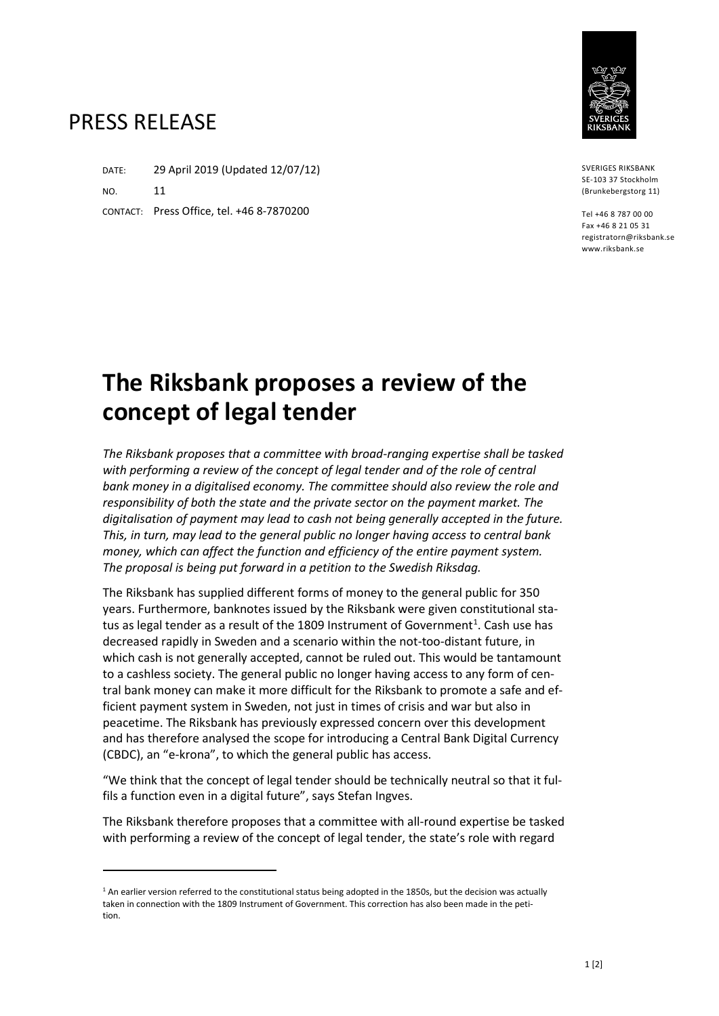## PRESS RELEASE

 $\overline{a}$ 

DATE: 29 April 2019 (Updated 12/07/12) NO. 11 CONTACT: Press Office, tel. +46 8-7870200

SVERIGES RIKSBANK SE-103 37 Stockholm (Brunkebergstorg 11)

Tel +46 8 787 00 00 Fax +46 8 21 05 31 registratorn@riksbank.se www.riksbank.se

## **The Riksbank proposes a review of the concept of legal tender**

*The Riksbank proposes that a committee with broad-ranging expertise shall be tasked*  with performing a review of the concept of legal tender and of the role of central *bank money in a digitalised economy. The committee should also review the role and responsibility of both the state and the private sector on the payment market. The digitalisation of payment may lead to cash not being generally accepted in the future. This, in turn, may lead to the general public no longer having access to central bank money, which can affect the function and efficiency of the entire payment system. The proposal is being put forward in a petition to the Swedish Riksdag.*

The Riksbank has supplied different forms of money to the general public for 350 years. Furthermore, banknotes issued by the Riksbank were given constitutional sta-tus as legal tender as a result of the [1](#page-0-0)809 Instrument of Government<sup>1</sup>. Cash use has decreased rapidly in Sweden and a scenario within the not-too-distant future, in which cash is not generally accepted, cannot be ruled out. This would be tantamount to a cashless society. The general public no longer having access to any form of central bank money can make it more difficult for the Riksbank to promote a safe and efficient payment system in Sweden, not just in times of crisis and war but also in peacetime. The Riksbank has previously expressed concern over this development and has therefore analysed the scope for introducing a Central Bank Digital Currency (CBDC), an "e-krona", to which the general public has access.

"We think that the concept of legal tender should be technically neutral so that it fulfils a function even in a digital future", says Stefan Ingves.

The Riksbank therefore proposes that a committee with all-round expertise be tasked with performing a review of the concept of legal tender, the state's role with regard

<span id="page-0-0"></span> $1$  An earlier version referred to the constitutional status being adopted in the 1850s, but the decision was actually taken in connection with the 1809 Instrument of Government. This correction has also been made in the petition.